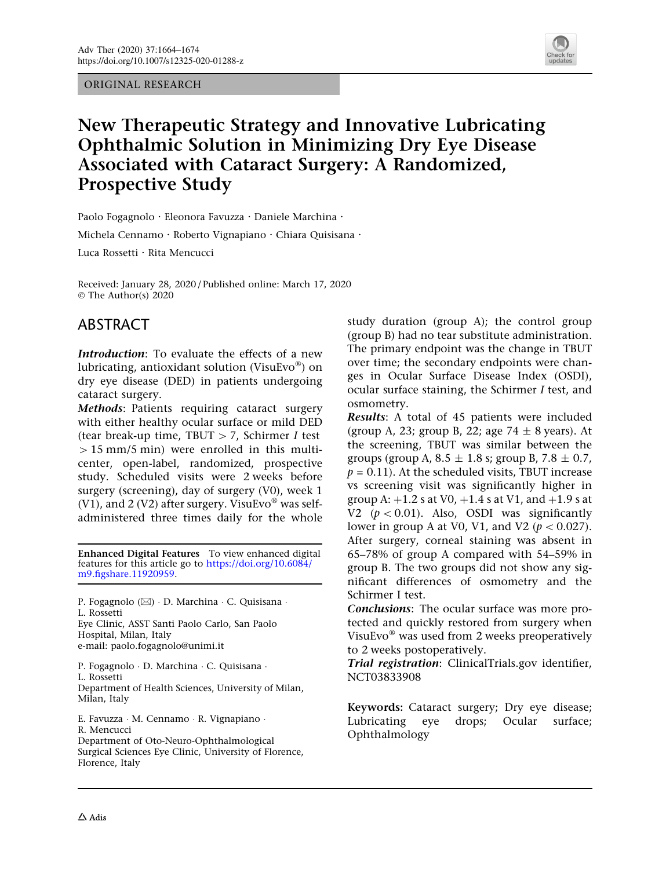ORIGINAL RESEARCH



# New Therapeutic Strategy and Innovative Lubricating Ophthalmic Solution in Minimizing Dry Eye Disease Associated with Cataract Surgery: A Randomized, Prospective Study

Paolo Fogagnolo · Eleonora Favuzza · Daniele Marchina ·

Michela Cennamo · Roberto Vignapiano · Chiara Quisisana ·

Luca Rossetti · Rita Mencucci

Received: January 28, 2020 / Published online: March 17, 2020  $\circ$  The Author(s) 2020

# ABSTRACT

Introduction: To evaluate the effects of a new lubricating, antioxidant solution (VisuEvo<sup>®</sup>) on dry eye disease (DED) in patients undergoing cataract surgery.

Methods: Patients requiring cataract surgery with either healthy ocular surface or mild DED (tear break-up time, TBUT  $> 7$ , Schirmer I test  $> 15$  mm/5 min) were enrolled in this multicenter, open-label, randomized, prospective study. Scheduled visits were 2 weeks before surgery (screening), day of surgery (V0), week 1 (V1), and 2 (V2) after surgery. VisuEvo<sup>®</sup> was selfadministered three times daily for the whole

Enhanced Digital Features To view enhanced digital features for this article go to [https://doi.org/10.6084/](https://doi.org/10.6084/m9.figshare.11920959) [m9.figshare.11920959.](https://doi.org/10.6084/m9.figshare.11920959)

P. Fogagnolo (⊠) · D. Marchina · C. Quisisana · L. Rossetti Eye Clinic, ASST Santi Paolo Carlo, San Paolo Hospital, Milan, Italy

e-mail: paolo.fogagnolo@unimi.it

P. Fogagnolo - D. Marchina - C. Quisisana - L. Rossetti Department of Health Sciences, University of Milan,

Milan, Italy

E. Favuzza - M. Cennamo - R. Vignapiano - R. Mencucci Department of Oto-Neuro-Ophthalmological Surgical Sciences Eye Clinic, University of Florence, Florence, Italy

study duration (group A); the control group (group B) had no tear substitute administration. The primary endpoint was the change in TBUT over time; the secondary endpoints were changes in Ocular Surface Disease Index (OSDI), ocular surface staining, the Schirmer I test, and osmometry.

Results: A total of 45 patients were included (group A, 23; group B, 22; age  $74 \pm 8$  years). At the screening, TBUT was similar between the groups (group A,  $8.5 \pm 1.8$  s; group B,  $7.8 \pm 0.7$ ,  $p = 0.11$ ). At the scheduled visits, TBUT increase vs screening visit was significantly higher in group A:  $+1.2$  s at V0,  $+1.4$  s at V1, and  $+1.9$  s at V2  $(p < 0.01)$ . Also, OSDI was significantly lower in group A at V0, V1, and V2 ( $p < 0.027$ ). After surgery, corneal staining was absent in 65–78% of group A compared with 54–59% in group B. The two groups did not show any significant differences of osmometry and the Schirmer I test.

Conclusions: The ocular surface was more protected and quickly restored from surgery when VisuEvo $^{\circledR}$  was used from 2 weeks preoperatively to 2 weeks postoperatively.

Trial registration: ClinicalTrials.gov identifier, NCT03833908

Keywords: Cataract surgery; Dry eye disease; Lubricating eye drops; Ocular surface; Ophthalmology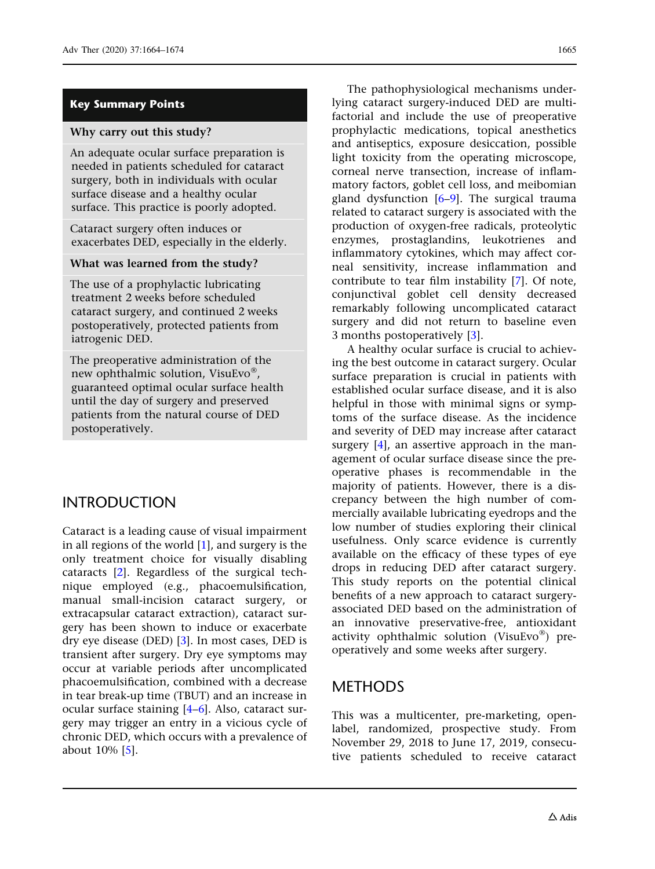#### Key Summary Points

#### Why carry out this study?

An adequate ocular surface preparation is needed in patients scheduled for cataract surgery, both in individuals with ocular surface disease and a healthy ocular surface. This practice is poorly adopted.

Cataract surgery often induces or exacerbates DED, especially in the elderly.

#### What was learned from the study?

The use of a prophylactic lubricating treatment 2 weeks before scheduled cataract surgery, and continued 2 weeks postoperatively, protected patients from iatrogenic DED.

The preoperative administration of the new ophthalmic solution, VisuEvo®, guaranteed optimal ocular surface health until the day of surgery and preserved patients from the natural course of DED postoperatively.

# INTRODUCTION

Cataract is a leading cause of visual impairment in all regions of the world [[1](#page-9-0)], and surgery is the only treatment choice for visually disabling cataracts [\[2](#page-9-0)]. Regardless of the surgical technique employed (e.g., phacoemulsification, manual small-incision cataract surgery, or extracapsular cataract extraction), cataract surgery has been shown to induce or exacerbate dry eye disease (DED) [[3\]](#page-9-0). In most cases, DED is transient after surgery. Dry eye symptoms may occur at variable periods after uncomplicated phacoemulsification, combined with a decrease in tear break-up time (TBUT) and an increase in ocular surface staining [[4–6\]](#page-9-0). Also, cataract surgery may trigger an entry in a vicious cycle of chronic DED, which occurs with a prevalence of about 10% [[5\]](#page-9-0).

The pathophysiological mechanisms underlying cataract surgery-induced DED are multifactorial and include the use of preoperative prophylactic medications, topical anesthetics and antiseptics, exposure desiccation, possible light toxicity from the operating microscope, corneal nerve transection, increase of inflammatory factors, goblet cell loss, and meibomian gland dysfunction [\[6–9\]](#page-9-0). The surgical trauma related to cataract surgery is associated with the production of oxygen-free radicals, proteolytic enzymes, prostaglandins, leukotrienes and inflammatory cytokines, which may affect corneal sensitivity, increase inflammation and contribute to tear film instability [\[7](#page-9-0)]. Of note, conjunctival goblet cell density decreased remarkably following uncomplicated cataract surgery and did not return to baseline even 3 months postoperatively [[3\]](#page-9-0).

A healthy ocular surface is crucial to achieving the best outcome in cataract surgery. Ocular surface preparation is crucial in patients with established ocular surface disease, and it is also helpful in those with minimal signs or symptoms of the surface disease. As the incidence and severity of DED may increase after cataract surgery [\[4\]](#page-9-0), an assertive approach in the management of ocular surface disease since the preoperative phases is recommendable in the majority of patients. However, there is a discrepancy between the high number of commercially available lubricating eyedrops and the low number of studies exploring their clinical usefulness. Only scarce evidence is currently available on the efficacy of these types of eye drops in reducing DED after cataract surgery. This study reports on the potential clinical benefits of a new approach to cataract surgeryassociated DED based on the administration of an innovative preservative-free, antioxidant activity ophthalmic solution (VisuEvo®) preoperatively and some weeks after surgery.

# METHODS

This was a multicenter, pre-marketing, openlabel, randomized, prospective study. From November 29, 2018 to June 17, 2019, consecutive patients scheduled to receive cataract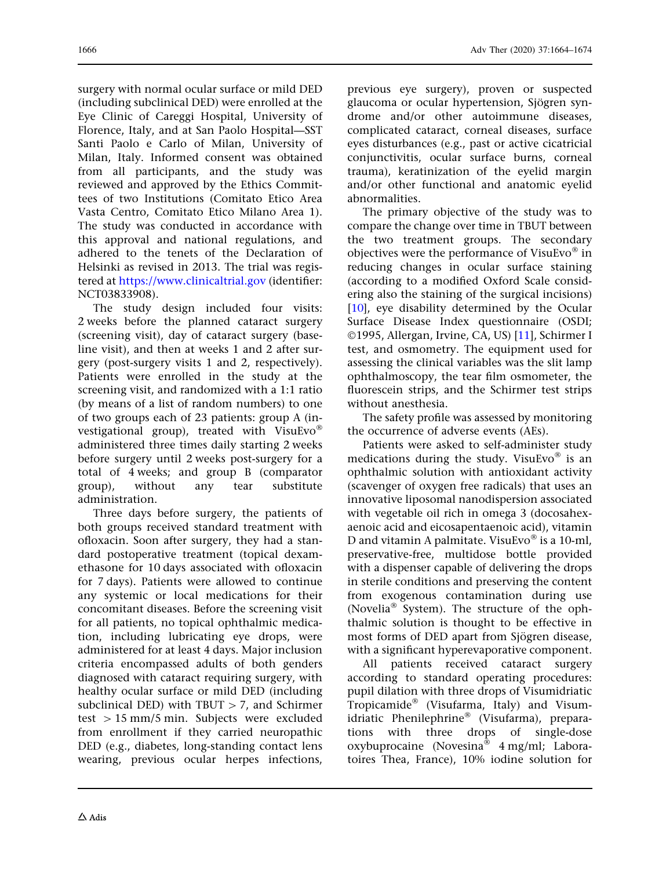surgery with normal ocular surface or mild DED (including subclinical DED) were enrolled at the Eye Clinic of Careggi Hospital, University of Florence, Italy, and at San Paolo Hospital—SST Santi Paolo e Carlo of Milan, University of Milan, Italy. Informed consent was obtained from all participants, and the study was reviewed and approved by the Ethics Committees of two Institutions (Comitato Etico Area Vasta Centro, Comitato Etico Milano Area 1). The study was conducted in accordance with this approval and national regulations, and adhered to the tenets of the Declaration of Helsinki as revised in 2013. The trial was registered at <https://www.clinicaltrial.gov> (identifier: NCT03833908).

The study design included four visits: 2 weeks before the planned cataract surgery (screening visit), day of cataract surgery (baseline visit), and then at weeks 1 and 2 after surgery (post-surgery visits 1 and 2, respectively). Patients were enrolled in the study at the screening visit, and randomized with a 1:1 ratio (by means of a list of random numbers) to one of two groups each of 23 patients: group A (investigational group), treated with VisuEvo<sup>®</sup> administered three times daily starting 2 weeks before surgery until 2 weeks post-surgery for a total of 4 weeks; and group B (comparator group), without any tear substitute administration.

Three days before surgery, the patients of both groups received standard treatment with ofloxacin. Soon after surgery, they had a standard postoperative treatment (topical dexamethasone for 10 days associated with ofloxacin for 7 days). Patients were allowed to continue any systemic or local medications for their concomitant diseases. Before the screening visit for all patients, no topical ophthalmic medication, including lubricating eye drops, were administered for at least 4 days. Major inclusion criteria encompassed adults of both genders diagnosed with cataract requiring surgery, with healthy ocular surface or mild DED (including subclinical DED) with  $T$ BUT  $> 7$ , and Schirmer test  $> 15$  mm/5 min. Subjects were excluded from enrollment if they carried neuropathic DED (e.g., diabetes, long-standing contact lens wearing, previous ocular herpes infections,

previous eye surgery), proven or suspected glaucoma or ocular hypertension, Sjögren syndrome and/or other autoimmune diseases, complicated cataract, corneal diseases, surface eyes disturbances (e.g., past or active cicatricial conjunctivitis, ocular surface burns, corneal trauma), keratinization of the eyelid margin and/or other functional and anatomic eyelid abnormalities.

The primary objective of the study was to compare the change over time in TBUT between the two treatment groups. The secondary objectives were the performance of VisuEvo $^{\circledR}$  in reducing changes in ocular surface staining (according to a modified Oxford Scale considering also the staining of the surgical incisions) [\[10\]](#page-9-0), eye disability determined by the Ocular Surface Disease Index questionnaire (OSDI; ©1995, Allergan, Irvine, CA, US) [[11](#page-9-0)], Schirmer I test, and osmometry. The equipment used for assessing the clinical variables was the slit lamp ophthalmoscopy, the tear film osmometer, the fluorescein strips, and the Schirmer test strips without anesthesia.

The safety profile was assessed by monitoring the occurrence of adverse events (AEs).

Patients were asked to self-administer study medications during the study. VisuEvo $\degree$  is an ophthalmic solution with antioxidant activity (scavenger of oxygen free radicals) that uses an innovative liposomal nanodispersion associated with vegetable oil rich in omega 3 (docosahexaenoic acid and eicosapentaenoic acid), vitamin D and vitamin A palmitate. VisuEvo<sup>®</sup> is a 10-ml, preservative-free, multidose bottle provided with a dispenser capable of delivering the drops in sterile conditions and preserving the content from exogenous contamination during use (Novelia<sup>®</sup> System). The structure of the ophthalmic solution is thought to be effective in most forms of DED apart from Sjögren disease, with a significant hyperevaporative component.

All patients received cataract surgery according to standard operating procedures: pupil dilation with three drops of Visumidriatic Tropicamide<sup>®</sup> (Visufarma, Italy) and Visumidriatic Phenilephrine® (Visufarma), preparations with three drops of single-dose oxybuprocaine (Novesina<sup>®</sup> 4 mg/ml; Laboratoires Thea, France), 10% iodine solution for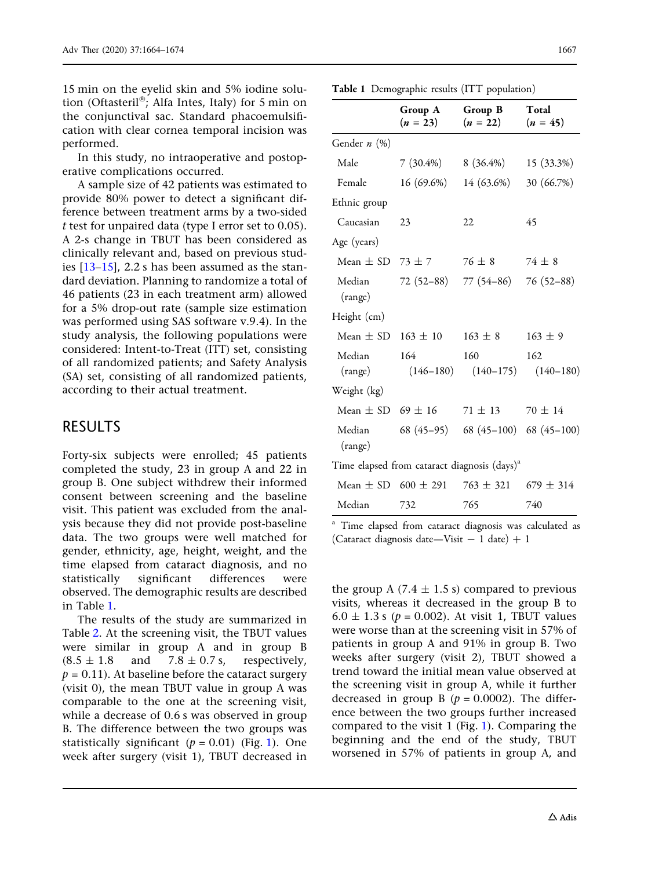<span id="page-3-0"></span>15 min on the eyelid skin and 5% iodine solution (Oftasteril®; Alfa Intes, Italy) for 5 min on the conjunctival sac. Standard phacoemulsification with clear cornea temporal incision was performed.

In this study, no intraoperative and postoperative complications occurred.

A sample size of 42 patients was estimated to provide 80% power to detect a significant difference between treatment arms by a two-sided t test for unpaired data (type I error set to 0.05). A 2-s change in TBUT has been considered as clinically relevant and, based on previous studies [[13–15](#page-10-0)], 2.2 s has been assumed as the standard deviation. Planning to randomize a total of 46 patients (23 in each treatment arm) allowed for a 5% drop-out rate (sample size estimation was performed using SAS software v.9.4). In the study analysis, the following populations were considered: Intent-to-Treat (ITT) set, consisting of all randomized patients; and Safety Analysis (SA) set, consisting of all randomized patients, according to their actual treatment.

### RESULTS

Forty-six subjects were enrolled; 45 patients completed the study, 23 in group A and 22 in group B. One subject withdrew their informed consent between screening and the baseline visit. This patient was excluded from the analysis because they did not provide post-baseline data. The two groups were well matched for gender, ethnicity, age, height, weight, and the time elapsed from cataract diagnosis, and no statistically significant differences were observed. The demographic results are described in Table 1.

The results of the study are summarized in Table [2](#page-4-0). At the screening visit, the TBUT values were similar in group A and in group B  $(8.5 \pm 1.8$  and  $7.8 \pm 0.7$  s, respectively,  $p = 0.11$ ). At baseline before the cataract surgery (visit 0), the mean TBUT value in group A was comparable to the one at the screening visit, while a decrease of 0.6 s was observed in group B. The difference between the two groups was statistically significant ( $p = 0.01$ ) (Fig. [1\)](#page-5-0). One week after surgery (visit 1), TBUT decreased in

|  | Table 1 Demographic results (ITT population) |  |  |
|--|----------------------------------------------|--|--|
|--|----------------------------------------------|--|--|

|                          | Group A<br>$(n = 23)$                     | Group B<br>$(n = 22)$                                    | Total<br>$(n = 45)$ |
|--------------------------|-------------------------------------------|----------------------------------------------------------|---------------------|
| Gender n (%)             |                                           |                                                          |                     |
| Male                     | $7(30.4\%)$                               | $8(36.4\%)$                                              | 15 (33.3%)          |
| Female                   | $16(69.6\%)$                              | 14 (63.6%)                                               | 30 (66.7%)          |
| Ethnic group             |                                           |                                                          |                     |
| Caucasian                | 23                                        | 22                                                       | 45                  |
| Age (years)              |                                           |                                                          |                     |
| Mean $\pm$ SD 73 $\pm$ 7 |                                           | $76 \pm 8$                                               | $74 \pm 8$          |
| Median<br>(range)        | $72(52-88)$                               | 77 (54–86)                                               | $76(52-88)$         |
| Height (cm)              |                                           |                                                          |                     |
| Mean $\pm$ SD            | $163 \pm 10$                              | $163 \pm 8$                                              | $163 \pm 9$         |
| Median<br>(range)        | 164                                       | 160<br>$(146-180)$ $(140-175)$ $(140-180)$               | 162                 |
| Weight (kg)              |                                           |                                                          |                     |
|                          | Mean $\pm$ SD 69 $\pm$ 16 71 $\pm$ 13     |                                                          | $70 \pm 14$         |
| Median<br>(range)        |                                           | 68 (45-95) 68 (45-100) 68 (45-100)                       |                     |
|                          |                                           | Time elapsed from cataract diagnosis (days) <sup>a</sup> |                     |
|                          | Mean $\pm$ SD 600 $\pm$ 291 763 $\pm$ 321 |                                                          | $679 \pm 314$       |
| Median                   | 732                                       | 765                                                      | 740                 |

<sup>a</sup> Time elapsed from cataract diagnosis was calculated as (Cataract diagnosis date—Visit  $-1$  date)  $+1$ 

the group A (7.4  $\pm$  1.5 s) compared to previous visits, whereas it decreased in the group B to  $6.0 \pm 1.3$  s ( $p = 0.002$ ). At visit 1, TBUT values were worse than at the screening visit in 57% of patients in group A and 91% in group B. Two weeks after surgery (visit 2), TBUT showed a trend toward the initial mean value observed at the screening visit in group A, while it further decreased in group B ( $p = 0.0002$ ). The difference between the two groups further increased compared to the visit 1 (Fig. [1](#page-5-0)). Comparing the beginning and the end of the study, TBUT worsened in 57% of patients in group A, and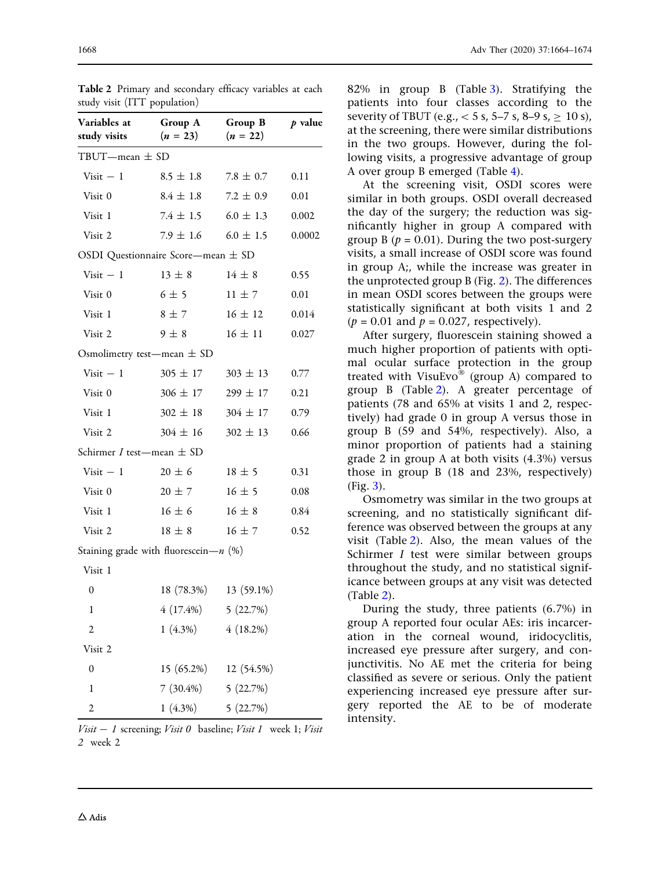| study visit (ITT population)  |                                          |                       |           |
|-------------------------------|------------------------------------------|-----------------------|-----------|
| Variables at<br>study visits  | Group A<br>$(n = 23)$                    | Group B<br>$(n = 22)$ | $p$ value |
| TBUT—mean $\pm$ SD            |                                          |                       |           |
| $Visit - 1$                   | $8.5 \pm 1.8$                            | $7.8 \pm 0.7$         | 0.11      |
| Visit 0                       | $8.4 \pm 1.8$                            | $7.2 \pm 0.9$         | 0.01      |
| Visit 1                       | $7.4 \pm 1.5$                            | $6.0 \pm 1.3$         | 0.002     |
| Visit 2                       | $7.9 \pm 1.6$                            | $6.0 \pm 1.5$         | 0.0002    |
|                               | OSDI Questionnaire Score—mean $\pm$ SD   |                       |           |
| $Visit - 1$                   | $13 \pm 8$                               | $14 \pm 8$            | 0.55      |
| Visit 0                       | $6\pm5$                                  | $11 \pm 7$            | 0.01      |
| Visit 1                       | $8 \pm 7$                                | $16 \pm 12$           | 0.014     |
| Visit 2                       | $9 \pm 8$                                | $16 \pm 11$           | 0.027     |
|                               | Osmolimetry test—mean $\pm$ SD           |                       |           |
| $Visit - 1$                   | $305 \pm 17$                             | $303 \pm 13$          | 0.77      |
| Visit 0                       | $306 \pm 17$                             | $299 \pm 17$          | 0.21      |
| Visit 1                       | $302 \pm 18$                             | $304 \pm 17$          | 0.79      |
| Visit 2                       | $304 \pm 16$                             | $302 \pm 13$          | 0.66      |
| Schirmer I test-mean $\pm$ SD |                                          |                       |           |
| $Visit - 1$                   | $20 \pm 6$                               | $18 \pm 5$            | 0.31      |
| Visit 0                       | $20 \pm 7$                               | $16 \pm 5$            | 0.08      |
| Visit 1                       | $16 \pm 6$                               | $16 \pm 8$            | 0.84      |
| Visit 2                       | $18 \pm 8$                               | $16 \pm 7$            | 0.52      |
|                               | Staining grade with fluorescein- $n$ (%) |                       |           |
| Visit 1                       |                                          |                       |           |
| 0                             | 18 (78.3%)                               | 13 (59.1%)            |           |
| 1                             |                                          | $4(17.4\%)$ 5 (22.7%) |           |
| $\overline{c}$                | $1(4.3\%)$                               | $4(18.2\%)$           |           |
| Visit 2                       |                                          |                       |           |
| $\mathbf{0}$                  |                                          | 15 (65.2%) 12 (54.5%) |           |

<span id="page-4-0"></span>Table 2 Primary and secondary efficacy variables at each

 $Visit - 1 \text{ screening}; Visit 0 \text{ baseline}; Visit 1 \text{ week 1}; Visit$ 2 week 2

1  $7(30.4\%)$  5  $(22.7\%)$ 2 1 (4.3%) 5 (22.7%) 82% in group B (Table [3](#page-5-0)). Stratifying the patients into four classes according to the severity of TBUT (e.g.,  $<$  5 s, 5–7 s, 8–9 s,  $\geq$  10 s), at the screening, there were similar distributions in the two groups. However, during the following visits, a progressive advantage of group A over group B emerged (Table [4\)](#page-6-0).

At the screening visit, OSDI scores were similar in both groups. OSDI overall decreased the day of the surgery; the reduction was significantly higher in group A compared with group B ( $p = 0.01$ ). During the two post-surgery visits, a small increase of OSDI score was found in group A;, while the increase was greater in the unprotected group B (Fig. [2](#page-7-0)). The differences in mean OSDI scores between the groups were statistically significant at both visits 1 and 2  $(p = 0.01$  and  $p = 0.027$ , respectively).

After surgery, fluorescein staining showed a much higher proportion of patients with optimal ocular surface protection in the group treated with VisuEvo® (group A) compared to group B (Table 2). A greater percentage of patients (78 and 65% at visits 1 and 2, respectively) had grade 0 in group A versus those in group B (59 and 54%, respectively). Also, a minor proportion of patients had a staining grade 2 in group A at both visits (4.3%) versus those in group B (18 and 23%, respectively) (Fig. [3](#page-7-0)).

Osmometry was similar in the two groups at screening, and no statistically significant difference was observed between the groups at any visit (Table 2). Also, the mean values of the Schirmer I test were similar between groups throughout the study, and no statistical significance between groups at any visit was detected (Table 2).

During the study, three patients (6.7%) in group A reported four ocular AEs: iris incarceration in the corneal wound, iridocyclitis, increased eye pressure after surgery, and conjunctivitis. No AE met the criteria for being classified as severe or serious. Only the patient experiencing increased eye pressure after surgery reported the AE to be of moderate intensity.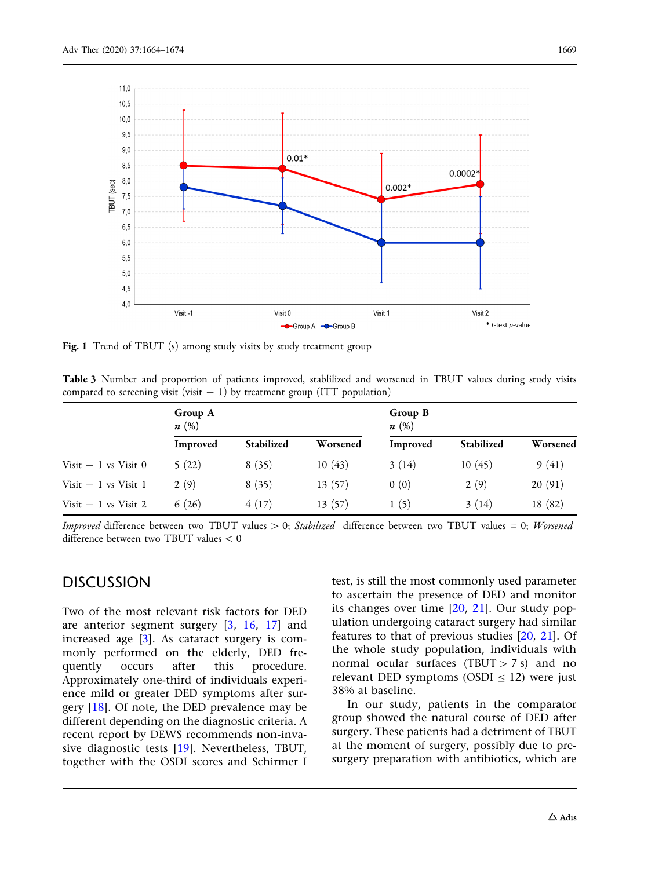<span id="page-5-0"></span>

Fig. 1 Trend of TBUT (s) among study visits by study treatment group

Table 3 Number and proportion of patients improved, stablilized and worsened in TBUT values during study visits compared to screening visit (visit  $- 1$ ) by treatment group (ITT population)

|                       | Group A<br>n(%) |            |          | Group B<br>n(%) |            |          |
|-----------------------|-----------------|------------|----------|-----------------|------------|----------|
|                       | Improved        | Stabilized | Worsened | Improved        | Stabilized | Worsened |
| Visit $-1$ vs Visit 0 | 5(22)           | 8(35)      | 10(43)   | 3(14)           | 10(45)     | 9(41)    |
| Visit $-1$ vs Visit 1 | 2(9)            | 8(35)      | 13(57)   | 0(0)            | 2(9)       | 20(91)   |
| Visit $-1$ vs Visit 2 | 6(26)           | 4(17)      | 13(57)   | 1(5)            | 3(14)      | 18 (82)  |

*Improved* difference between two TBUT values  $> 0$ ; *Stabilized* difference between two TBUT values = 0; *Worsened* difference between two TBUT values  $< 0$ 

### DISCUSSION

Two of the most relevant risk factors for DED are anterior segment surgery [[3](#page-9-0), [16](#page-10-0), [17\]](#page-10-0) and increased age [\[3](#page-9-0)]. As cataract surgery is commonly performed on the elderly, DED frequently occurs after this procedure. Approximately one-third of individuals experience mild or greater DED symptoms after surgery [\[18\]](#page-10-0). Of note, the DED prevalence may be different depending on the diagnostic criteria. A recent report by DEWS recommends non-invasive diagnostic tests [[19](#page-10-0)]. Nevertheless, TBUT, together with the OSDI scores and Schirmer I

test, is still the most commonly used parameter to ascertain the presence of DED and monitor its changes over time  $[20, 21]$  $[20, 21]$  $[20, 21]$  $[20, 21]$ . Our study population undergoing cataract surgery had similar features to that of previous studies [\[20,](#page-10-0) [21\]](#page-10-0). Of the whole study population, individuals with normal ocular surfaces (TBUT  $> 7 s$ ) and no relevant DED symptoms (OSDI  $\le$  12) were just 38% at baseline.

In our study, patients in the comparator group showed the natural course of DED after surgery. These patients had a detriment of TBUT at the moment of surgery, possibly due to presurgery preparation with antibiotics, which are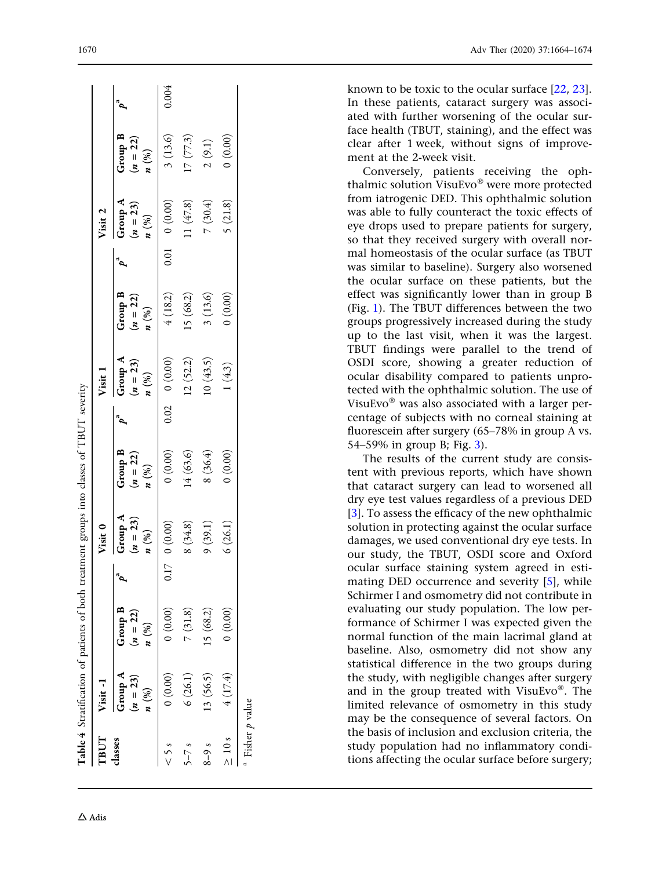<span id="page-6-0"></span>

| TBUT     | Visit-1                                                                                               |                                                  | Visit 0                                        |                                                  | Visit 1                                          |                                            | Visit 2                          |                                                   |       |
|----------|-------------------------------------------------------------------------------------------------------|--------------------------------------------------|------------------------------------------------|--------------------------------------------------|--------------------------------------------------|--------------------------------------------|----------------------------------|---------------------------------------------------|-------|
| classes  | Group A<br>$(n = 23)$<br>$\boldsymbol{n}\,\left(\begin{smallmatrix} 0\% \ 0 \end{smallmatrix}\right)$ | Group B<br>$(n = 22)$<br>$\boldsymbol{n}$ $(\%)$ | Group A<br>$n = 23$<br>$\boldsymbol{n}$ $(\%)$ | Group B<br>$(n = 22)$<br>$\boldsymbol{n}$ $(\%)$ | Group A<br>$(n = 23)$<br>$\boldsymbol{n}$ $(\%)$ | Group B<br>$(n = 22)$<br>$n \binom{96}{2}$ | Group A<br>$(n = 23)$<br>$n (%)$ | Group B<br>$(n = 22)$<br><i>n</i> $\binom{96}{ }$ |       |
|          | (0.00)                                                                                                | (0.00)                                           | (0.00)                                         | 0(0.00)                                          | $0.02$ 0 $(0.00)$                                | 4(18.2)                                    | 0.01 0 (0.00)                    | 3(13.6)                                           | 0.004 |
| $5 - 7s$ | 6(26.1)                                                                                               | 7(31.8)                                          | 8(34.8)                                        | 14(63.6)                                         | 12(52.2)                                         | 15(68.2)                                   | 11 $(47.8)$                      | 17(77.3)                                          |       |
| $8 - 9s$ | 13(56.5)                                                                                              | 15(68.2)                                         | 9(39.1)                                        | 8(36.4)                                          | 0(43.5)                                          | 3(13.6)                                    | 7(30.4)                          | 2(9.1)                                            |       |
| $> 10$ s | 4(17.4)                                                                                               | (0.00)                                           | 6(26.1)                                        | (0.00)                                           | 1(4.3)                                           | (0.00)                                     | 5(21.8)                          | (0.00)                                            |       |

known to be toxic to the ocular surface [[22](#page-10-0) , [23](#page-10-0)]. In these patients, cataract surgery was associated with further worsening of the ocular surface health (TBUT, staining), and the effect was clear after 1 week, without signs of improvement at the 2-week visit.

Conversely, patients receiving the ophthalmic solution VisuEvo® were more protected from iatrogenic DED. This ophthalmic solution was able to fully counteract the toxic effects of eye drops used to prepare patients for surgery, so that they received surgery with overall normal homeostasis of the ocular surface (as TBUT was similar to baseline). Surgery also worsened the ocular surface on these patients, but the effect was significantly lower than in group B (Fig. [1](#page-5-0)). The TBUT differences between the two groups progressively increased during the study up to the last visit, when it was the largest. TBUT findings were parallel to the trend of OSDI score, showing a greater reduction of ocular disability compared to patients unprotected with the ophthalmic solution. The use of VisuEvo® was also associated with a larger percentage of subjects with no corneal staining at fluorescein after surgery (65–78% in group A vs. 54–59% in group B; Fig. [3](#page-7-0)).

The results of the current study are consistent with previous reports, which have shown that cataract surgery can lead to worsened all dry eye test values regardless of a previous DED [\[3](#page-9-0)]. To assess the efficacy of the new ophthalmic solution in protecting against the ocular surface damages, we used conventional dry eye tests. In our study, the TBUT, OSDI score and Oxford ocular surface staining system agreed in estimating DED occurrence and severity [\[5\]](#page-9-0), while Schirmer I and osmometry did not contribute in evaluating our study population. The low performance of Schirmer I was expected given the normal function of the main lacrimal gland at baseline. Also, osmometry did not show any statistical difference in the two groups during the study, with negligible changes after surgery and in the group treated with VisuEvo®. The limited relevance of osmometry in this study may be the consequence of several factors. On the basis of inclusion and exclusion criteria, the study population had no inflammatory conditions affecting the ocular surface before surgery;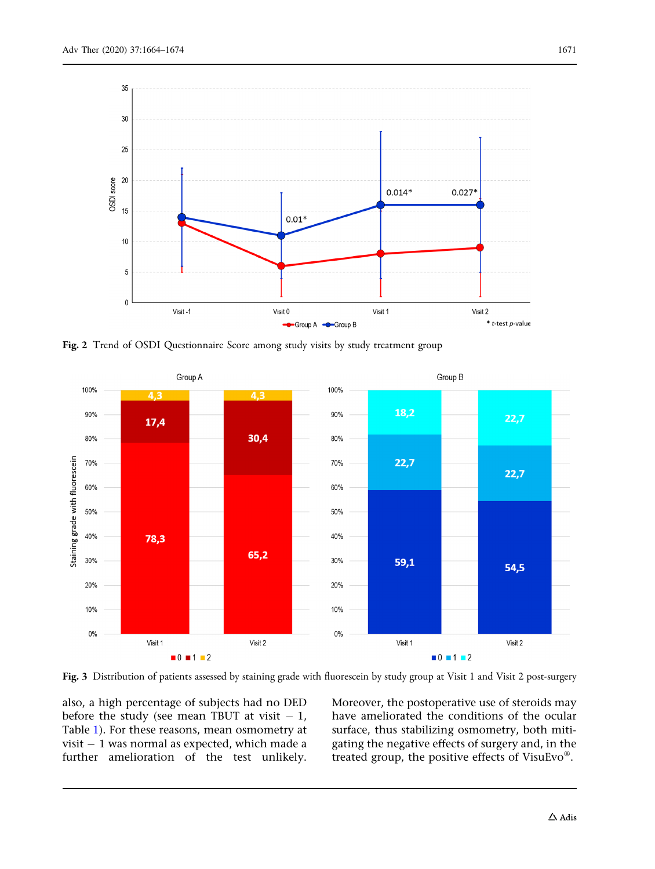<span id="page-7-0"></span>

Fig. 2 Trend of OSDI Questionnaire Score among study visits by study treatment group



Fig. 3 Distribution of patients assessed by staining grade with fluorescein by study group at Visit 1 and Visit 2 post-surgery

also, a high percentage of subjects had no DED before the study (see mean TBUT at visit  $-1$ , Table [1](#page-3-0)). For these reasons, mean osmometry at visit  $-1$  was normal as expected, which made a further amelioration of the test unlikely.

Moreover, the postoperative use of steroids may have ameliorated the conditions of the ocular surface, thus stabilizing osmometry, both mitigating the negative effects of surgery and, in the treated group, the positive effects of VisuEvo $^{\circledR}$ .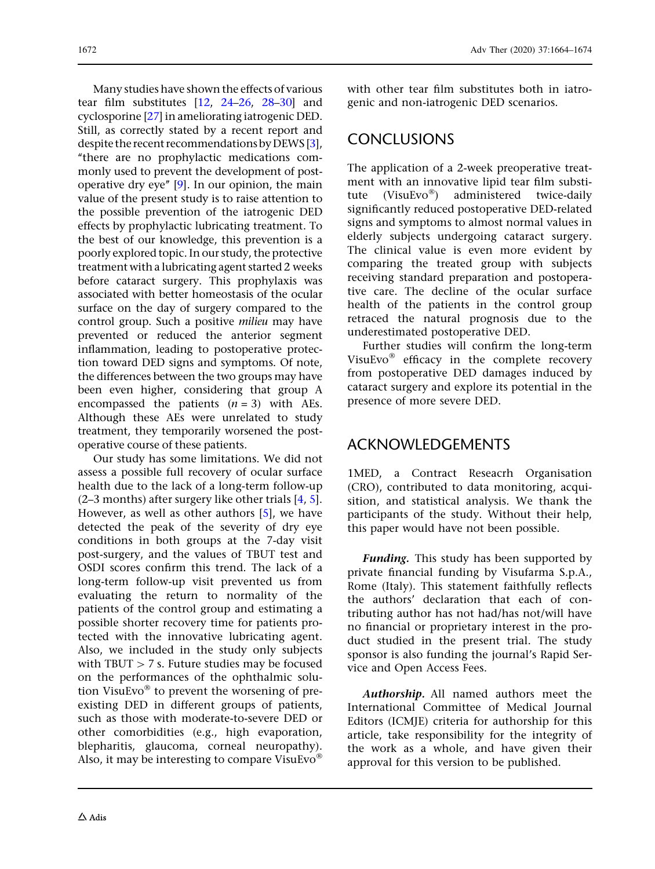Many studies have shown the effects of various tear film substitutes [[12,](#page-9-0) [24–26](#page-10-0), [28–30\]](#page-10-0) and cyclosporine [[27\]](#page-10-0) in ameliorating iatrogenic DED. Still, as correctly stated by a recent report and despite the recent recommendations by DEWS [[3](#page-9-0)], ''there are no prophylactic medications commonly used to prevent the development of postoperative dry eye'' [\[9\]](#page-9-0). In our opinion, the main value of the present study is to raise attention to the possible prevention of the iatrogenic DED effects by prophylactic lubricating treatment. To the best of our knowledge, this prevention is a poorly explored topic. In our study, the protective treatment with a lubricating agent started 2 weeks before cataract surgery. This prophylaxis was associated with better homeostasis of the ocular surface on the day of surgery compared to the control group. Such a positive milieu may have prevented or reduced the anterior segment inflammation, leading to postoperative protection toward DED signs and symptoms. Of note, the differences between the two groups may have been even higher, considering that group A encompassed the patients  $(n = 3)$  with AEs. Although these AEs were unrelated to study treatment, they temporarily worsened the postoperative course of these patients.

Our study has some limitations. We did not assess a possible full recovery of ocular surface health due to the lack of a long-term follow-up  $(2-3$  months) after surgery like other trials [\[4](#page-9-0), [5](#page-9-0)]. However, as well as other authors [[5\]](#page-9-0), we have detected the peak of the severity of dry eye conditions in both groups at the 7-day visit post-surgery, and the values of TBUT test and OSDI scores confirm this trend. The lack of a long-term follow-up visit prevented us from evaluating the return to normality of the patients of the control group and estimating a possible shorter recovery time for patients protected with the innovative lubricating agent. Also, we included in the study only subjects with  $T$ BUT  $> 7$  s. Future studies may be focused on the performances of the ophthalmic solution VisuEvo $\mathcal{O}$  to prevent the worsening of preexisting DED in different groups of patients, such as those with moderate-to-severe DED or other comorbidities (e.g., high evaporation, blepharitis, glaucoma, corneal neuropathy). Also, it may be interesting to compare VisuEvo $^{\circ}$ 

with other tear film substitutes both in iatrogenic and non-iatrogenic DED scenarios.

### **CONCLUSIONS**

The application of a 2-week preoperative treatment with an innovative lipid tear film substitute (VisuEvo®) administered twice-daily significantly reduced postoperative DED-related signs and symptoms to almost normal values in elderly subjects undergoing cataract surgery. The clinical value is even more evident by comparing the treated group with subjects receiving standard preparation and postoperative care. The decline of the ocular surface health of the patients in the control group retraced the natural prognosis due to the underestimated postoperative DED.

Further studies will confirm the long-term VisuEvo $\infty$  efficacy in the complete recovery from postoperative DED damages induced by cataract surgery and explore its potential in the presence of more severe DED.

# ACKNOWLEDGEMENTS

1MED, a Contract Reseacrh Organisation (CRO), contributed to data monitoring, acquisition, and statistical analysis. We thank the participants of the study. Without their help, this paper would have not been possible.

**Funding.** This study has been supported by private financial funding by Visufarma S.p.A., Rome (Italy). This statement faithfully reflects the authors' declaration that each of contributing author has not had/has not/will have no financial or proprietary interest in the product studied in the present trial. The study sponsor is also funding the journal's Rapid Service and Open Access Fees.

Authorship. All named authors meet the International Committee of Medical Journal Editors (ICMJE) criteria for authorship for this article, take responsibility for the integrity of the work as a whole, and have given their approval for this version to be published.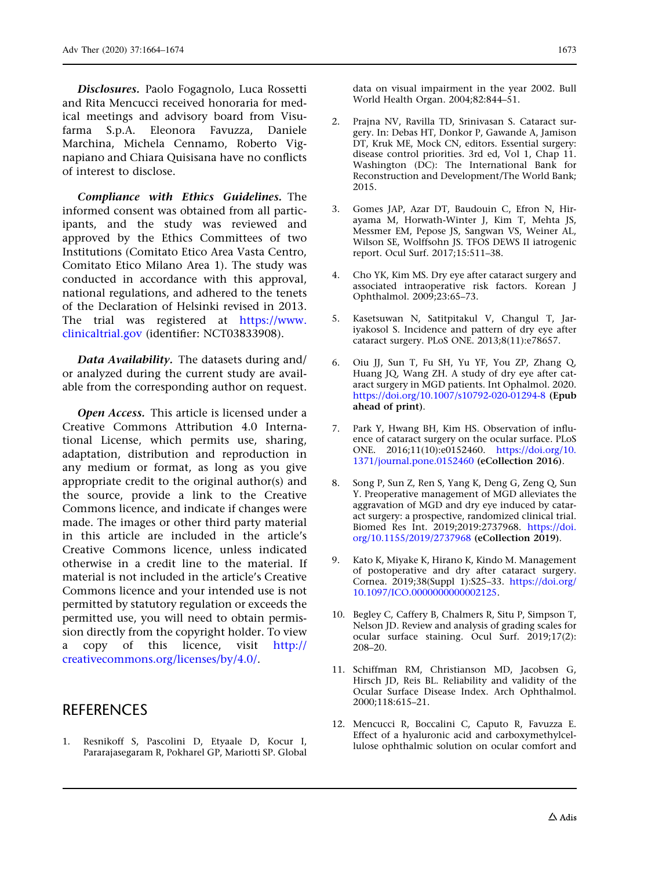<span id="page-9-0"></span>Disclosures. Paolo Fogagnolo, Luca Rossetti and Rita Mencucci received honoraria for medical meetings and advisory board from Visufarma S.p.A. Eleonora Favuzza, Daniele Marchina, Michela Cennamo, Roberto Vignapiano and Chiara Quisisana have no conflicts of interest to disclose.

Compliance with Ethics Guidelines. The informed consent was obtained from all participants, and the study was reviewed and approved by the Ethics Committees of two Institutions (Comitato Etico Area Vasta Centro, Comitato Etico Milano Area 1). The study was conducted in accordance with this approval, national regulations, and adhered to the tenets of the Declaration of Helsinki revised in 2013. The trial was registered at [https://www.](https://www.clinicaltrial.gov) [clinicaltrial.gov](https://www.clinicaltrial.gov) (identifier: NCT03833908).

Data Availability. The datasets during and/ or analyzed during the current study are available from the corresponding author on request.

Open Access. This article is licensed under a Creative Commons Attribution 4.0 International License, which permits use, sharing, adaptation, distribution and reproduction in any medium or format, as long as you give appropriate credit to the original author(s) and the source, provide a link to the Creative Commons licence, and indicate if changes were made. The images or other third party material in this article are included in the article's Creative Commons licence, unless indicated otherwise in a credit line to the material. If material is not included in the article's Creative Commons licence and your intended use is not permitted by statutory regulation or exceeds the permitted use, you will need to obtain permission directly from the copyright holder. To view a copy of this licence, visit [http://](http://creativecommons.org/licenses/by/4.0/) [creativecommons.org/licenses/by/4.0/](http://creativecommons.org/licenses/by/4.0/).

#### **REFERENCES**

1. Resnikoff S, Pascolini D, Etyaale D, Kocur I, Pararajasegaram R, Pokharel GP, Mariotti SP. Global data on visual impairment in the year 2002. Bull World Health Organ. 2004;82:844–51.

- 2. Prajna NV, Ravilla TD, Srinivasan S. Cataract surgery. In: Debas HT, Donkor P, Gawande A, Jamison DT, Kruk ME, Mock CN, editors. Essential surgery: disease control priorities. 3rd ed, Vol 1, Chap 11. Washington (DC): The International Bank for Reconstruction and Development/The World Bank; 2015.
- 3. Gomes JAP, Azar DT, Baudouin C, Efron N, Hirayama M, Horwath-Winter J, Kim T, Mehta JS, Messmer EM, Pepose JS, Sangwan VS, Weiner AL, Wilson SE, Wolffsohn JS. TFOS DEWS II iatrogenic report. Ocul Surf. 2017;15:511–38.
- 4. Cho YK, Kim MS. Dry eye after cataract surgery and associated intraoperative risk factors. Korean J Ophthalmol. 2009;23:65–73.
- 5. Kasetsuwan N, Satitpitakul V, Changul T, Jariyakosol S. Incidence and pattern of dry eye after cataract surgery. PLoS ONE. 2013;8(11):e78657.
- 6. Oiu JJ, Sun T, Fu SH, Yu YF, You ZP, Zhang Q, Huang JQ, Wang ZH. A study of dry eye after cataract surgery in MGD patients. Int Ophalmol. 2020. <https://doi.org/10.1007/s10792-020-01294-8> (Epub ahead of print).
- 7. Park Y, Hwang BH, Kim HS. Observation of influence of cataract surgery on the ocular surface. PLoS ONE. 2016;11(10):e0152460. [https://doi.org/10.](https://doi.org/10.1371/journal.pone.0152460) [1371/journal.pone.0152460](https://doi.org/10.1371/journal.pone.0152460) (eCollection 2016).
- 8. Song P, Sun Z, Ren S, Yang K, Deng G, Zeng Q, Sun Y. Preoperative management of MGD alleviates the aggravation of MGD and dry eye induced by cataract surgery: a prospective, randomized clinical trial. Biomed Res Int. 2019;2019:2737968. [https://doi.](https://doi.org/10.1155/2019/2737968) [org/10.1155/2019/2737968](https://doi.org/10.1155/2019/2737968) (eCollection 2019).
- 9. Kato K, Miyake K, Hirano K, Kindo M. Management of postoperative and dry after cataract surgery. Cornea. 2019;38(Suppl 1):S25–33. [https://doi.org/](https://doi.org/10.1097/ICO.0000000000002125) [10.1097/ICO.0000000000002125](https://doi.org/10.1097/ICO.0000000000002125).
- 10. Begley C, Caffery B, Chalmers R, Situ P, Simpson T, Nelson JD. Review and analysis of grading scales for ocular surface staining. Ocul Surf. 2019;17(2): 208–20.
- 11. Schiffman RM, Christianson MD, Jacobsen G, Hirsch JD, Reis BL. Reliability and validity of the Ocular Surface Disease Index. Arch Ophthalmol. 2000;118:615–21.
- 12. Mencucci R, Boccalini C, Caputo R, Favuzza E. Effect of a hyaluronic acid and carboxymethylcellulose ophthalmic solution on ocular comfort and